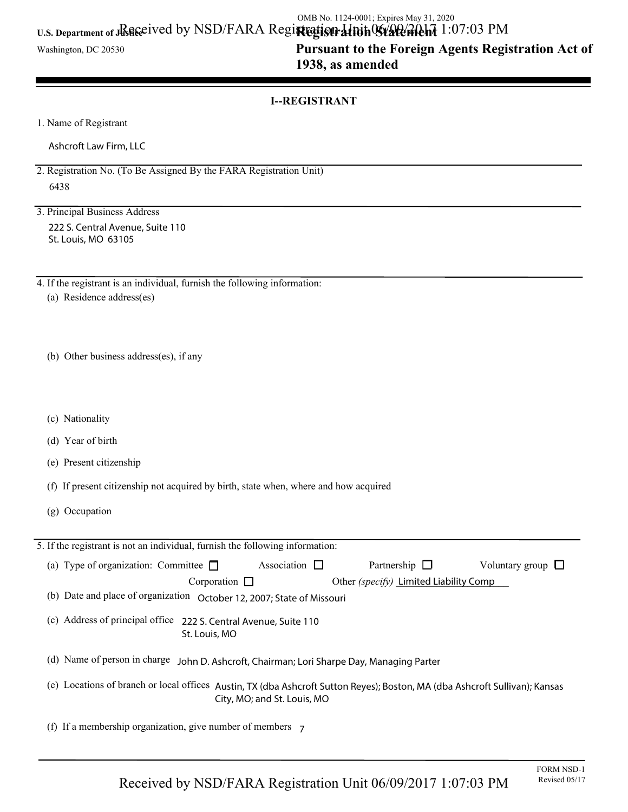### U.S. Department of JRGGeived by NSD/FARA Regi**rtegistrativin Wald Al**chi 1:07:03 PM OMB No. 1124-0001; Expires May 31, 2020

Washington, DC 20530

## **Pursuant to the Foreign Agents Registration Act of 1938, as amended**

#### **I--REGISTRANT**

1. Name of Registrant

Ashcroft Law Firm, LLC

2. Registration No. (To Be Assigned By the FARA Registration Unit) 6438

3. Principal Business Address 222 S. Central Avenue, Suite 110 St. Louis, MO 63105

4. If the registrant is an individual, furnish the following information:

(a) Residence address(es)

(b) Other business address(es), if any

- (c) Nationality
- (d) Year of birth
- (e) Present citizenship
- (f) If present citizenship not acquired by birth, state when, where and how acquired
- (g) Occupation

| 5. If the registrant is not an individual, furnish the following information:                                                                                 |  |  |
|---------------------------------------------------------------------------------------------------------------------------------------------------------------|--|--|
| Association $\square$<br>(a) Type of organization: Committee $\square$<br>Partnership $\Box$<br>Voluntary group $\Box$                                        |  |  |
| Corporation $\Box$<br>Other (specify) Limited Liability Comp                                                                                                  |  |  |
| (b) Date and place of organization October 12, 2007; State of Missouri                                                                                        |  |  |
| (c) Address of principal office 222 S. Central Avenue, Suite 110<br>St. Louis, MO                                                                             |  |  |
| (d) Name of person in charge<br>John D. Ashcroft, Chairman; Lori Sharpe Day, Managing Parter                                                                  |  |  |
| (e) Locations of branch or local offices<br>Austin, TX (dba Ashcroft Sutton Reyes); Boston, MA (dba Ashcroft Sullivan); Kansas<br>City, MO; and St. Louis, MO |  |  |
| (f) If a membership organization, give number of members $\overline{z}$                                                                                       |  |  |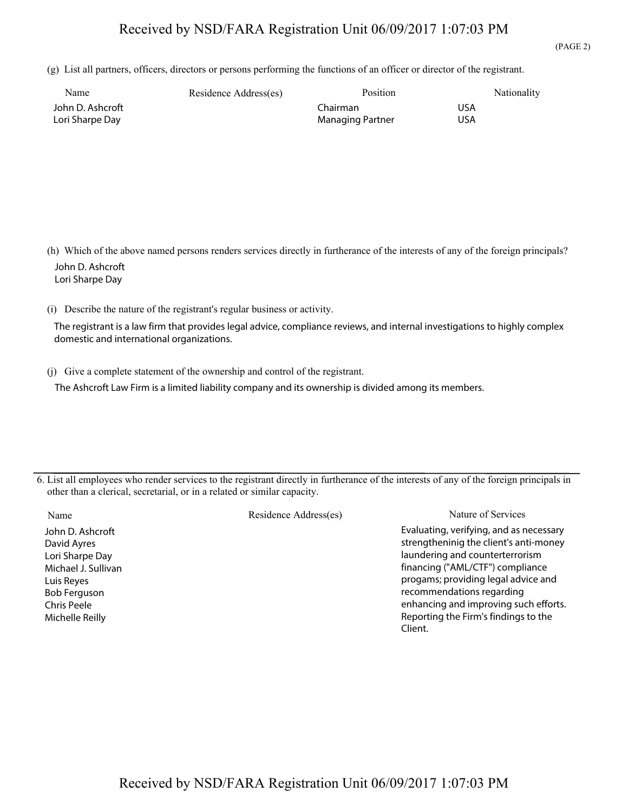## Received by NSD/FARA Registration Unit 06/09/2017 1:07:03 PM

(g) List all partners, officers, directors or persons performing the functions of an officer or director of the registrant.

| Name             | Residence Address(es) | Position         | Nationality |
|------------------|-----------------------|------------------|-------------|
| John D. Ashcroft |                       | Chairman         | USA         |
| Lori Sharpe Day  |                       | Managing Partner | USA         |

 (h) Which of the above named persons renders services directly in furtherance of the interests of any of the foreign principals? John D. Ashcroft Lori Sharpe Day

(i) Describe the nature of the registrant's regular business or activity.

The registrant is a law firm that provides legal advice, compliance reviews, and internal investigations to highly complex domestic and international organizations.

(j) Give a complete statement of the ownership and control of the registrant.

The Ashcroft Law Firm is a limited liability company and its ownership is divided among its members.

6. List all employees who render services to the registrant directly in furtherance of the interests of any of the foreign principals in other than a clerical, secretarial, or in a related or similar capacity.

| John D. Ashcroft    |
|---------------------|
| David Ayres         |
| Lori Sharpe Day     |
| Michael J. Sullivan |
| Luis Reyes          |
| <b>Bob Ferguson</b> |
| Chris Peele         |
| Michelle Reilly     |
|                     |

Name Residence Address(es) Nature of Services Evaluating, verifying, and as necessary strengtheninig the client's anti-money laundering and counterterrorism financing ("AML/CTF") compliance progams; providing legal advice and recommendations regarding enhancing and improving such efforts. Reporting the Firm's findings to the Client.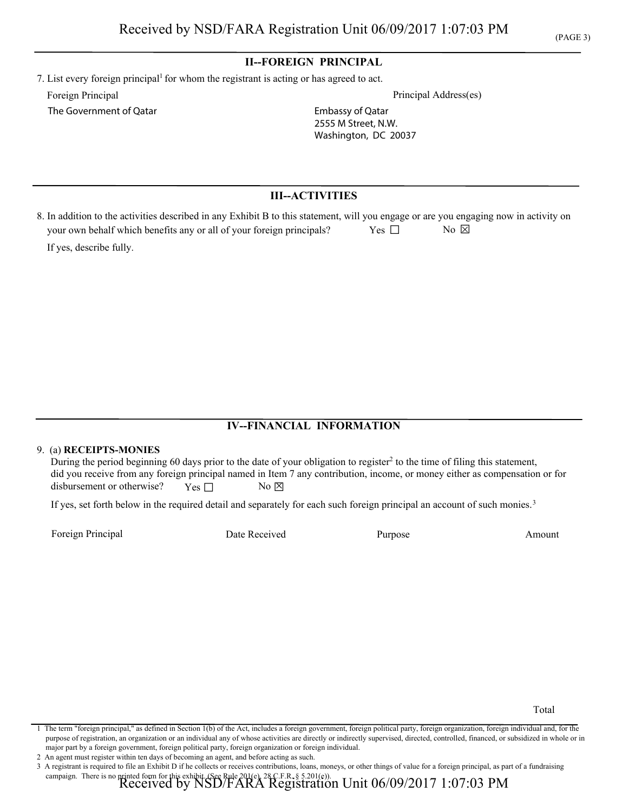#### **II--FOREIGN PRINCIPAL**

7. List every foreign principal<sup>1</sup> for whom the registrant is acting or has agreed to act. Foreign Principal Principal Address(es)

The Government of Qatar

Embassy of Qatar 2555 M Street, N.W. Washington, DC 20037

#### **III--ACTIVITIES**

| 8. In addition to the activities described in any Exhibit B to this statement, will you engage or are you engaging now in activity on |       |                               |  |
|---------------------------------------------------------------------------------------------------------------------------------------|-------|-------------------------------|--|
| your own behalf which benefits any or all of your foreign principals?                                                                 | Yes 1 | $\overline{N}$ $\overline{N}$ |  |
| If yes, describe fully.                                                                                                               |       |                               |  |

#### **IV--FINANCIAL INFORMATION**

#### 9. (a) **RECEIPTS-MONIES**

During the period beginning 60 days prior to the date of your obligation to register<sup>2</sup> to the time of filing this statement, did you receive from any foreign principal named in Item 7 any contribution, income, or money either as compensation or for disbursement or otherwise? Yes  $\Box$  No  $\boxtimes$ 

If yes, set forth below in the required detail and separately for each such foreign principal an account of such monies.<sup>3</sup>

Foreign Principal **Purpose** Amount **Purpose** Amount **Purpose** Amount **Amount** 

Date Received

Total

campaign. There is no printed form for this exhibit. (See Rule 201(e), 28 C.F.R. § 5.201(e)).<br>Received by NSD/FARA Registration Unit  $06/09/2017\ 1:07:03\ \mathrm{PM}$ 

<sup>1</sup> The term "foreign principal," as defined in Section 1(b) of the Act, includes a foreign government, foreign political party, foreign organization, foreign individual and, for the purpose of registration, an organization or an individual any of whose activities are directly or indirectly supervised, directed, controlled, financed, or subsidized in whole or in major part by a foreign government, foreign political party, foreign organization or foreign individual.

<sup>2</sup> An agent must register within ten days of becoming an agent, and before acting as such.

<sup>3</sup> A registrant is required to file an Exhibit D if he collects or receives contributions, loans, moneys, or other things of value for a foreign principal, as part of a fundraising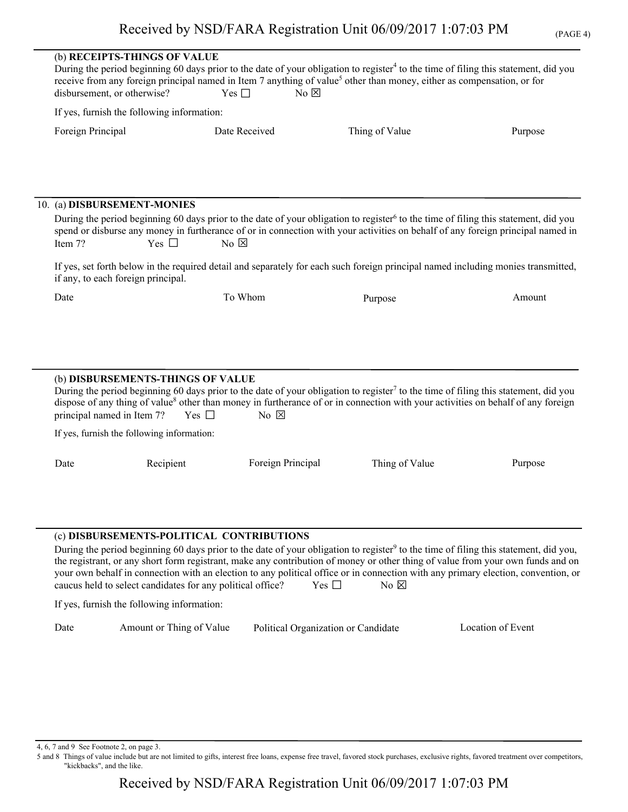| D. | AGE. |  |
|----|------|--|
| r. |      |  |

|                                                                                                                                                                                                                                                                                                                               | disbursement, or otherwise?        | (b) RECEIPTS-THINGS OF VALUE                                                                  | Yes $\Box$            | $No \boxtimes$                      | During the period beginning 60 days prior to the date of your obligation to register <sup>4</sup> to the time of filing this statement, did you<br>receive from any foreign principal named in Item 7 anything of value <sup>5</sup> other than money, either as compensation, or for           |  |
|-------------------------------------------------------------------------------------------------------------------------------------------------------------------------------------------------------------------------------------------------------------------------------------------------------------------------------|------------------------------------|-----------------------------------------------------------------------------------------------|-----------------------|-------------------------------------|-------------------------------------------------------------------------------------------------------------------------------------------------------------------------------------------------------------------------------------------------------------------------------------------------|--|
|                                                                                                                                                                                                                                                                                                                               |                                    | If yes, furnish the following information:                                                    |                       |                                     |                                                                                                                                                                                                                                                                                                 |  |
|                                                                                                                                                                                                                                                                                                                               | Foreign Principal                  |                                                                                               | Date Received         | Thing of Value                      | Purpose                                                                                                                                                                                                                                                                                         |  |
|                                                                                                                                                                                                                                                                                                                               |                                    |                                                                                               |                       |                                     |                                                                                                                                                                                                                                                                                                 |  |
|                                                                                                                                                                                                                                                                                                                               |                                    | 10. (a) DISBURSEMENT-MONIES                                                                   |                       |                                     |                                                                                                                                                                                                                                                                                                 |  |
| During the period beginning 60 days prior to the date of your obligation to register <sup>6</sup> to the time of filing this statement, did you<br>spend or disburse any money in furtherance of or in connection with your activities on behalf of any foreign principal named in<br>Yes $\Box$<br>No $\boxtimes$<br>Item 7? |                                    |                                                                                               |                       |                                     |                                                                                                                                                                                                                                                                                                 |  |
|                                                                                                                                                                                                                                                                                                                               | if any, to each foreign principal. |                                                                                               |                       |                                     | If yes, set forth below in the required detail and separately for each such foreign principal named including monies transmitted,                                                                                                                                                               |  |
|                                                                                                                                                                                                                                                                                                                               | Date                               |                                                                                               | To Whom               | Purpose                             | Amount                                                                                                                                                                                                                                                                                          |  |
|                                                                                                                                                                                                                                                                                                                               | principal named in Item 7?         | (b) DISBURSEMENTS-THINGS OF VALUE<br>Yes $\square$                                            | $No \nvert \boxtimes$ |                                     | During the period beginning 60 days prior to the date of your obligation to register <sup>7</sup> to the time of filing this statement, did you<br>dispose of any thing of value <sup>8</sup> other than money in furtherance of or in connection with your activities on behalf of any foreign |  |
|                                                                                                                                                                                                                                                                                                                               |                                    | If yes, furnish the following information:                                                    |                       |                                     |                                                                                                                                                                                                                                                                                                 |  |
|                                                                                                                                                                                                                                                                                                                               | Date                               | Recipient                                                                                     | Foreign Principal     | Thing of Value                      | Purpose                                                                                                                                                                                                                                                                                         |  |
|                                                                                                                                                                                                                                                                                                                               |                                    | (c) DISBURSEMENTS-POLITICAL CONTRIBUTIONS                                                     |                       |                                     |                                                                                                                                                                                                                                                                                                 |  |
|                                                                                                                                                                                                                                                                                                                               |                                    |                                                                                               |                       |                                     | During the period beginning 60 days prior to the date of your obligation to register <sup>9</sup> to the time of filing this statement, did you,                                                                                                                                                |  |
|                                                                                                                                                                                                                                                                                                                               |                                    |                                                                                               |                       |                                     | the registrant, or any short form registrant, make any contribution of money or other thing of value from your own funds and on<br>your own behalf in connection with an election to any political office or in connection with any primary election, convention, or                            |  |
|                                                                                                                                                                                                                                                                                                                               |                                    | caucus held to select candidates for any political office?<br>Yes $\square$<br>No $\boxtimes$ |                       |                                     |                                                                                                                                                                                                                                                                                                 |  |
|                                                                                                                                                                                                                                                                                                                               |                                    | If yes, furnish the following information:                                                    |                       |                                     |                                                                                                                                                                                                                                                                                                 |  |
|                                                                                                                                                                                                                                                                                                                               | Date                               | Amount or Thing of Value                                                                      |                       | Political Organization or Candidate | Location of Event                                                                                                                                                                                                                                                                               |  |

4, 6, 7 and 9 See Footnote 2, on page 3.

5 and 8 Things of value include but are not limited to gifts, interest free loans, expense free travel, favored stock purchases, exclusive rights, favored treatment over competitors, "kickbacks", and the like.

Received by NSD/FARA Registration Unit 06/09/2017 1:07:03 PM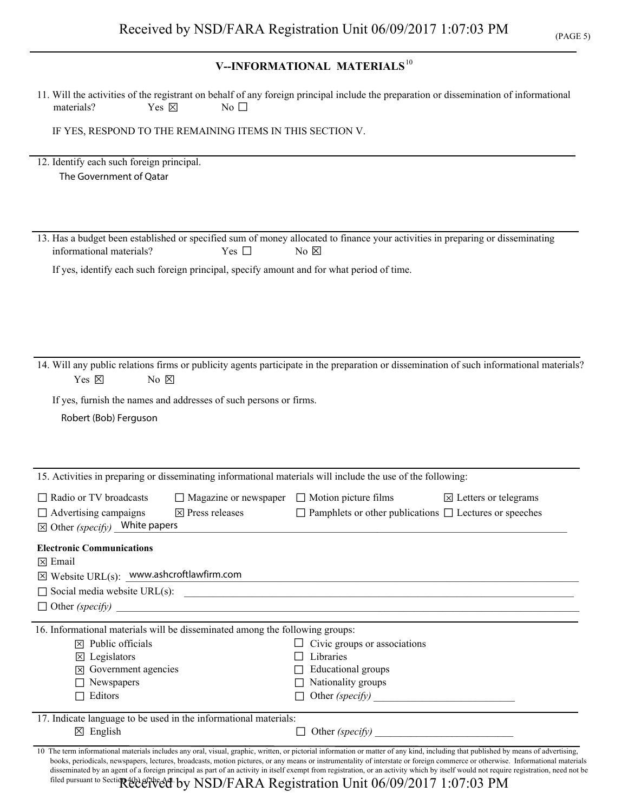# **V--INFORMATIONAL MATERIALS**<sup>10</sup>

| materials?<br>Yes $\boxtimes$<br>No $\Box$                                                                                                                                                                             | 11. Will the activities of the registrant on behalf of any foreign principal include the preparation or dissemination of informational                                                                                                                                                                                                                                                                                                                                                                                                                                                                                                                      |
|------------------------------------------------------------------------------------------------------------------------------------------------------------------------------------------------------------------------|-------------------------------------------------------------------------------------------------------------------------------------------------------------------------------------------------------------------------------------------------------------------------------------------------------------------------------------------------------------------------------------------------------------------------------------------------------------------------------------------------------------------------------------------------------------------------------------------------------------------------------------------------------------|
| IF YES, RESPOND TO THE REMAINING ITEMS IN THIS SECTION V.                                                                                                                                                              |                                                                                                                                                                                                                                                                                                                                                                                                                                                                                                                                                                                                                                                             |
| 12. Identify each such foreign principal.<br>The Government of Qatar                                                                                                                                                   |                                                                                                                                                                                                                                                                                                                                                                                                                                                                                                                                                                                                                                                             |
| informational materials?<br>Yes $\Box$<br>If yes, identify each such foreign principal, specify amount and for what period of time.                                                                                    | 13. Has a budget been established or specified sum of money allocated to finance your activities in preparing or disseminating<br>No $\boxtimes$                                                                                                                                                                                                                                                                                                                                                                                                                                                                                                            |
| Yes 冈<br>No $\boxtimes$<br>If yes, furnish the names and addresses of such persons or firms.<br>Robert (Bob) Ferguson                                                                                                  | 14. Will any public relations firms or publicity agents participate in the preparation or dissemination of such informational materials?                                                                                                                                                                                                                                                                                                                                                                                                                                                                                                                    |
|                                                                                                                                                                                                                        | 15. Activities in preparing or disseminating informational materials will include the use of the following:                                                                                                                                                                                                                                                                                                                                                                                                                                                                                                                                                 |
| $\Box$ Radio or TV broadcasts<br>$\Box$ Advertising campaigns<br>$\boxtimes$ Press releases<br>$\boxtimes$ Other (specify) White papers                                                                                | $\Box$ Magazine or newspaper $\Box$ Motion picture films<br>$\boxtimes$ Letters or telegrams<br>$\Box$ Pamphlets or other publications $\Box$ Lectures or speeches                                                                                                                                                                                                                                                                                                                                                                                                                                                                                          |
| <b>Electronic Communications</b><br>$\boxtimes$ Email<br>$\boxtimes$ Website URL(s): www.ashcroftlawfirm.com                                                                                                           | $\Box$ Social media website URL(s): $\Box$                                                                                                                                                                                                                                                                                                                                                                                                                                                                                                                                                                                                                  |
| 16. Informational materials will be disseminated among the following groups:<br>$\boxtimes$ Public officials<br>$\boxtimes$ Legislators<br>$ \overline{x} $ Government agencies<br>$\Box$ Newspapers<br>$\Box$ Editors | $\Box$ Civic groups or associations<br>Libraries<br>ΙI<br>Educational groups<br>$\Box$ Nationality groups                                                                                                                                                                                                                                                                                                                                                                                                                                                                                                                                                   |
| 17. Indicate language to be used in the informational materials:<br>$\boxtimes$ English                                                                                                                                |                                                                                                                                                                                                                                                                                                                                                                                                                                                                                                                                                                                                                                                             |
|                                                                                                                                                                                                                        | 10 The term informational materials includes any oral, visual, graphic, written, or pictorial information or matter of any kind, including that published by means of advertising,<br>books, periodicals, newspapers, lectures, broadcasts, motion pictures, or any means or instrumentality of interstate or foreign commerce or otherwise. Informational materials<br>disseminated by an agent of a foreign principal as part of an activity in itself exempt from registration, or an activity which by itself would not require registration, need not be<br>filed pursuant to Section 40de eftered by NSD/FARA Registration Unit 06/09/2017 1:07:03 PM |